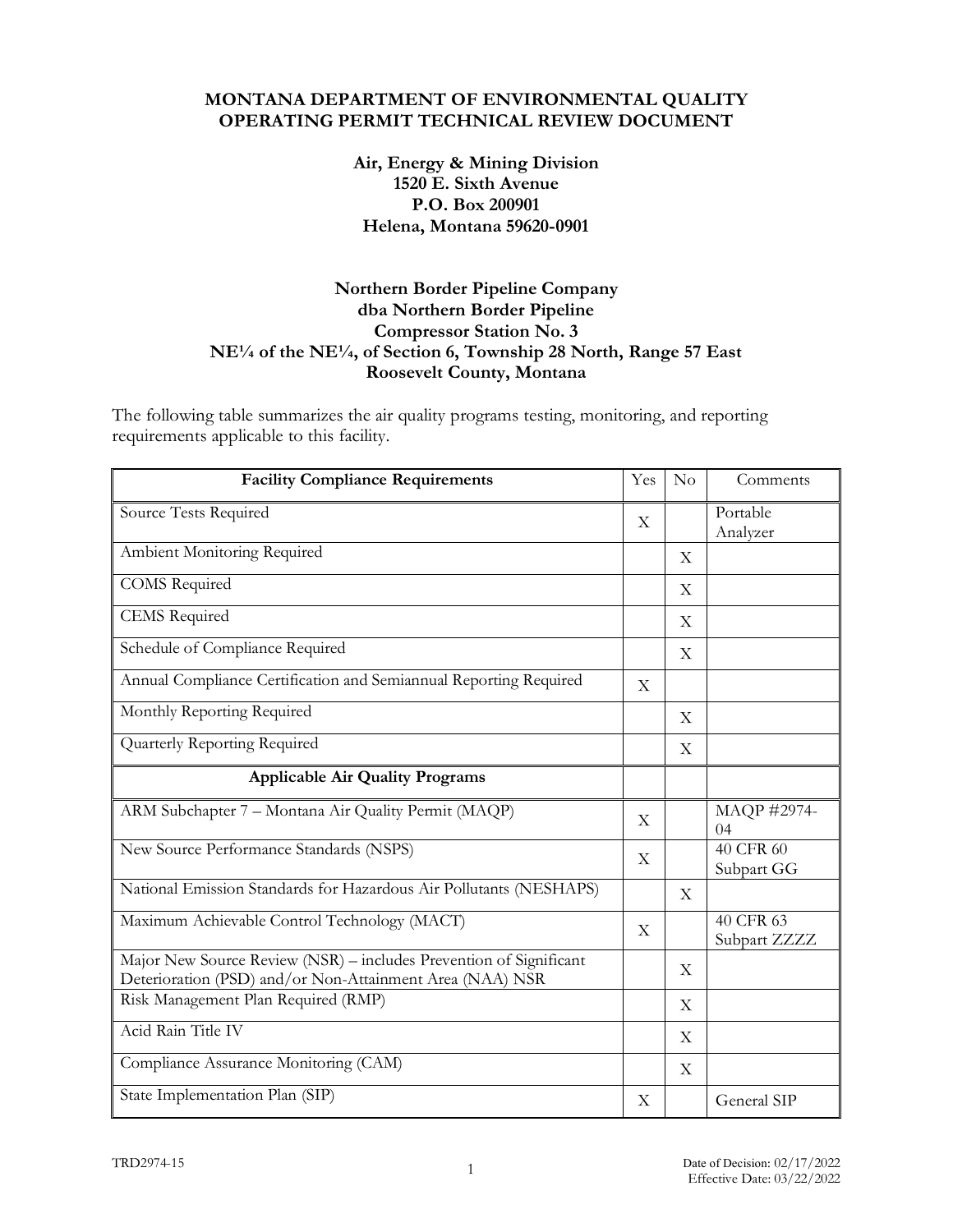#### **MONTANA DEPARTMENT OF ENVIRONMENTAL QUALITY OPERATING PERMIT TECHNICAL REVIEW DOCUMENT**

### **Air, Energy & Mining Division 1520 E. Sixth Avenue P.O. Box 200901 Helena, Montana 59620-0901**

## **Northern Border Pipeline Company dba Northern Border Pipeline Compressor Station No. 3 NE¼ of the NE¼, of Section 6, Township 28 North, Range 57 East Roosevelt County, Montana**

The following table summarizes the air quality programs testing, monitoring, and reporting requirements applicable to this facility.

| <b>Facility Compliance Requirements</b>                                                                                        | Yes          | No                        | Comments                  |
|--------------------------------------------------------------------------------------------------------------------------------|--------------|---------------------------|---------------------------|
| Source Tests Required                                                                                                          | X            |                           | Portable<br>Analyzer      |
| Ambient Monitoring Required                                                                                                    |              | X                         |                           |
| <b>COMS</b> Required                                                                                                           |              | X                         |                           |
| <b>CEMS</b> Required                                                                                                           |              | X                         |                           |
| Schedule of Compliance Required                                                                                                |              | X                         |                           |
| Annual Compliance Certification and Semiannual Reporting Required                                                              | X            |                           |                           |
| Monthly Reporting Required                                                                                                     |              | X                         |                           |
| Quarterly Reporting Required                                                                                                   |              | X                         |                           |
| <b>Applicable Air Quality Programs</b>                                                                                         |              |                           |                           |
| ARM Subchapter 7 - Montana Air Quality Permit (MAQP)                                                                           | X            |                           | MAQP #2974-<br>04         |
| New Source Performance Standards (NSPS)                                                                                        | $\mathbf X$  |                           | 40 CFR 60<br>Subpart GG   |
| National Emission Standards for Hazardous Air Pollutants (NESHAPS)                                                             |              | X                         |                           |
| Maximum Achievable Control Technology (MACT)                                                                                   | X            |                           | 40 CFR 63<br>Subpart ZZZZ |
| Major New Source Review (NSR) - includes Prevention of Significant<br>Deterioration (PSD) and/or Non-Attainment Area (NAA) NSR |              | X                         |                           |
| Risk Management Plan Required (RMP)                                                                                            |              | X                         |                           |
| Acid Rain Title IV                                                                                                             |              | X                         |                           |
| Compliance Assurance Monitoring (CAM)                                                                                          |              | $\boldsymbol{\mathrm{X}}$ |                           |
| State Implementation Plan (SIP)                                                                                                | $\mathbf{X}$ |                           | General SIP               |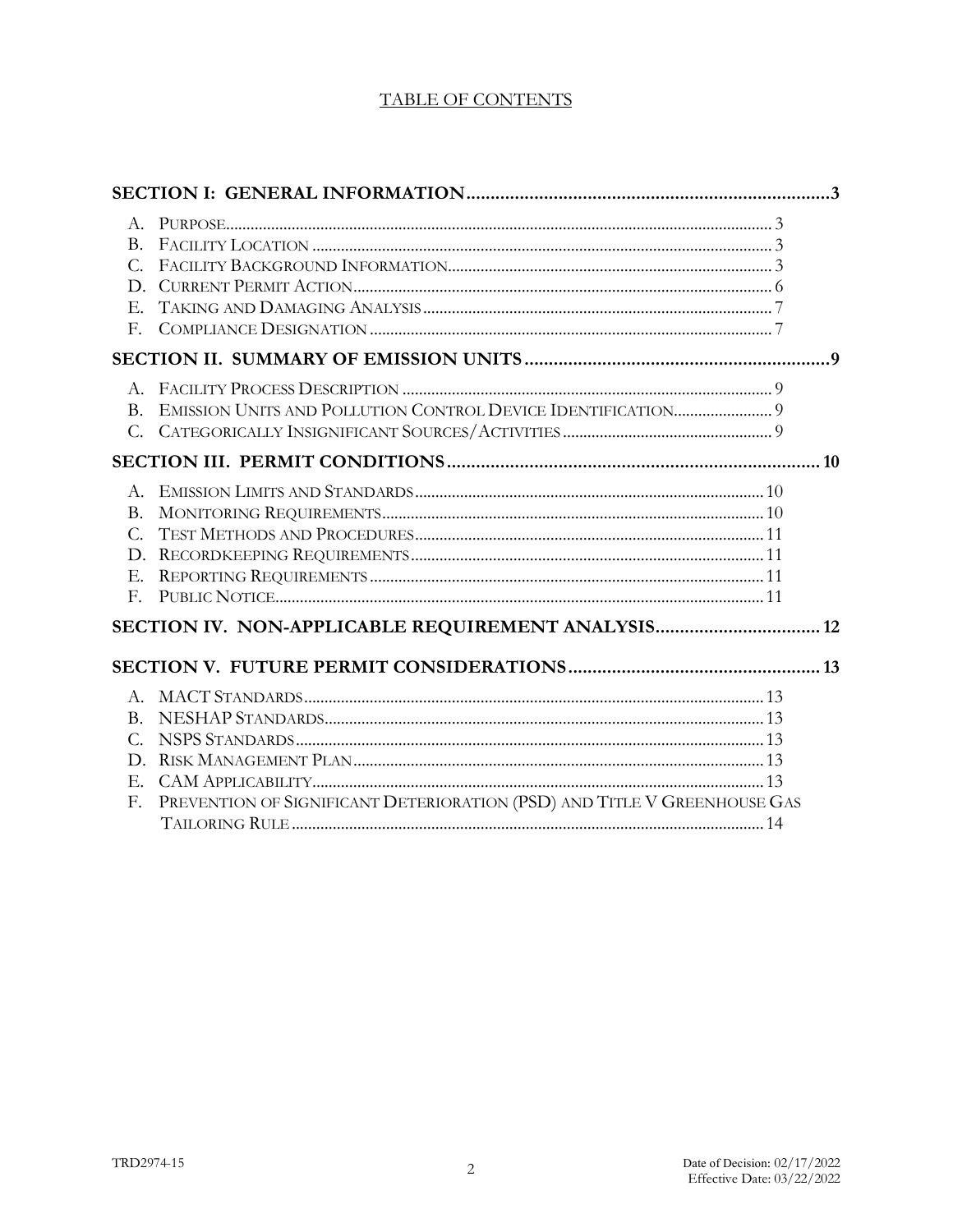## **TABLE OF CONTENTS**

| $B_{-}$<br>$C_{\cdot}$<br>D.<br>Е.<br>F.     |                                                                          |  |
|----------------------------------------------|--------------------------------------------------------------------------|--|
|                                              |                                                                          |  |
|                                              |                                                                          |  |
|                                              |                                                                          |  |
| Β.<br>$C_{\cdot}$<br>D.<br>Е.<br>$F_{\rm r}$ |                                                                          |  |
|                                              | SECTION IV. NON-APPLICABLE REQUIREMENT ANALYSIS 12                       |  |
|                                              |                                                                          |  |
|                                              |                                                                          |  |
|                                              |                                                                          |  |
| C.                                           |                                                                          |  |
| D.                                           |                                                                          |  |
| Е.                                           |                                                                          |  |
| F.                                           | PREVENTION OF SIGNIFICANT DETERIORATION (PSD) AND TITLE V GREENHOUSE GAS |  |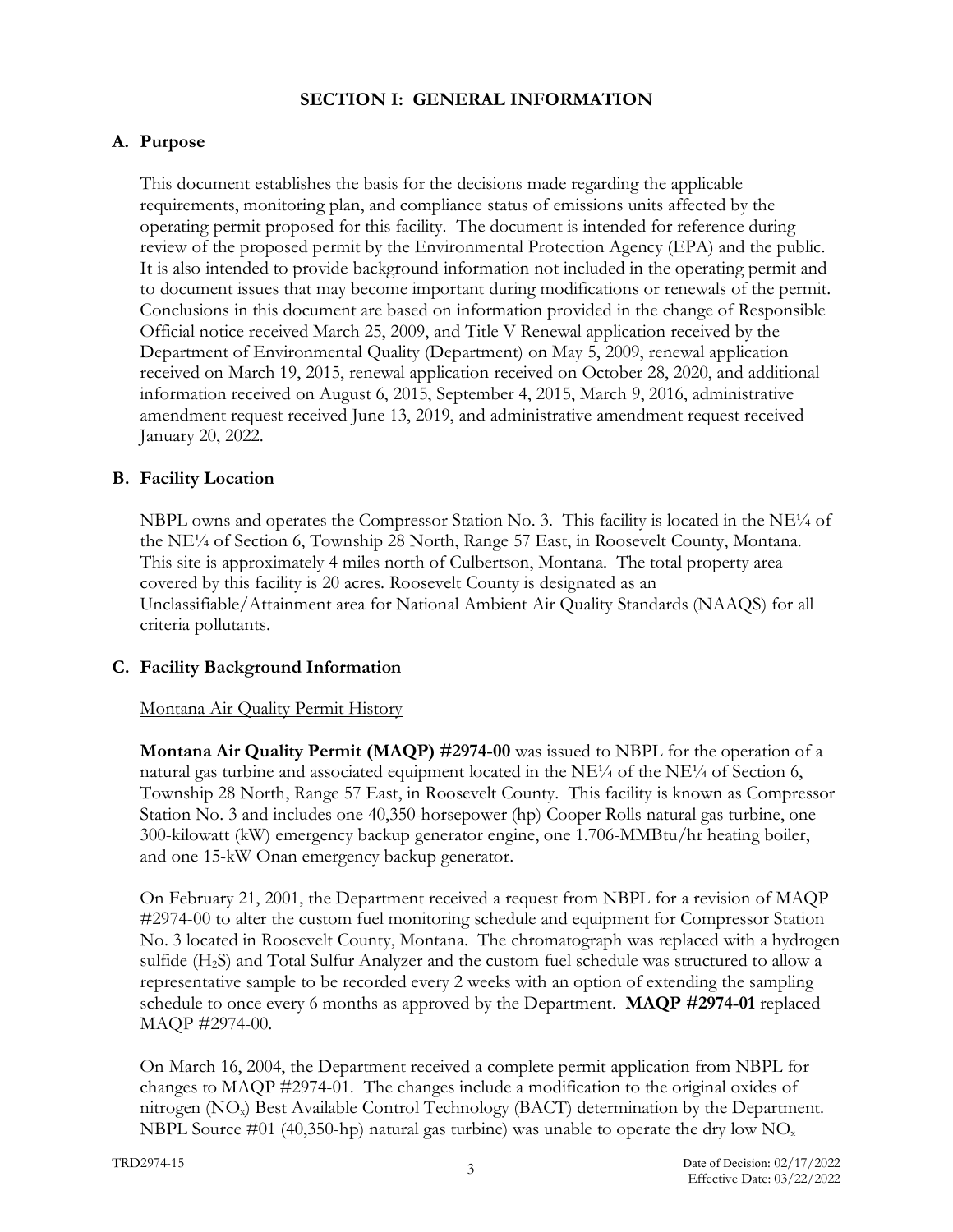## **SECTION I: GENERAL INFORMATION**

## **A. Purpose**

This document establishes the basis for the decisions made regarding the applicable requirements, monitoring plan, and compliance status of emissions units affected by the operating permit proposed for this facility. The document is intended for reference during review of the proposed permit by the Environmental Protection Agency (EPA) and the public. It is also intended to provide background information not included in the operating permit and to document issues that may become important during modifications or renewals of the permit. Conclusions in this document are based on information provided in the change of Responsible Official notice received March 25, 2009, and Title V Renewal application received by the Department of Environmental Quality (Department) on May 5, 2009, renewal application received on March 19, 2015, renewal application received on October 28, 2020, and additional information received on August 6, 2015, September 4, 2015, March 9, 2016, administrative amendment request received June 13, 2019, and administrative amendment request received January 20, 2022.

## **B. Facility Location**

NBPL owns and operates the Compressor Station No. 3. This facility is located in the NE $\frac{1}{4}$  of the NE¼ of Section 6, Township 28 North, Range 57 East, in Roosevelt County, Montana. This site is approximately 4 miles north of Culbertson, Montana. The total property area covered by this facility is 20 acres. Roosevelt County is designated as an Unclassifiable/Attainment area for National Ambient Air Quality Standards (NAAQS) for all criteria pollutants.

## **C. Facility Background Information**

#### Montana Air Quality Permit History

**Montana Air Quality Permit (MAQP) #2974-00** was issued to NBPL for the operation of a natural gas turbine and associated equipment located in the  $NE<sup>1/4</sup>$  of the NE<sup> $1/4$ </sup> of Section 6, Township 28 North, Range 57 East, in Roosevelt County. This facility is known as Compressor Station No. 3 and includes one 40,350-horsepower (hp) Cooper Rolls natural gas turbine, one 300-kilowatt (kW) emergency backup generator engine, one 1.706-MMBtu/hr heating boiler, and one 15-kW Onan emergency backup generator.

On February 21, 2001, the Department received a request from NBPL for a revision of MAQP #2974-00 to alter the custom fuel monitoring schedule and equipment for Compressor Station No. 3 located in Roosevelt County, Montana. The chromatograph was replaced with a hydrogen sulfide (H2S) and Total Sulfur Analyzer and the custom fuel schedule was structured to allow a representative sample to be recorded every 2 weeks with an option of extending the sampling schedule to once every 6 months as approved by the Department. **MAQP #2974-01** replaced MAQP #2974-00.

On March 16, 2004, the Department received a complete permit application from NBPL for changes to MAQP #2974-01. The changes include a modification to the original oxides of nitrogen (NOx) Best Available Control Technology (BACT) determination by the Department. NBPL Source #01 (40,350-hp) natural gas turbine) was unable to operate the dry low  $NO<sub>x</sub>$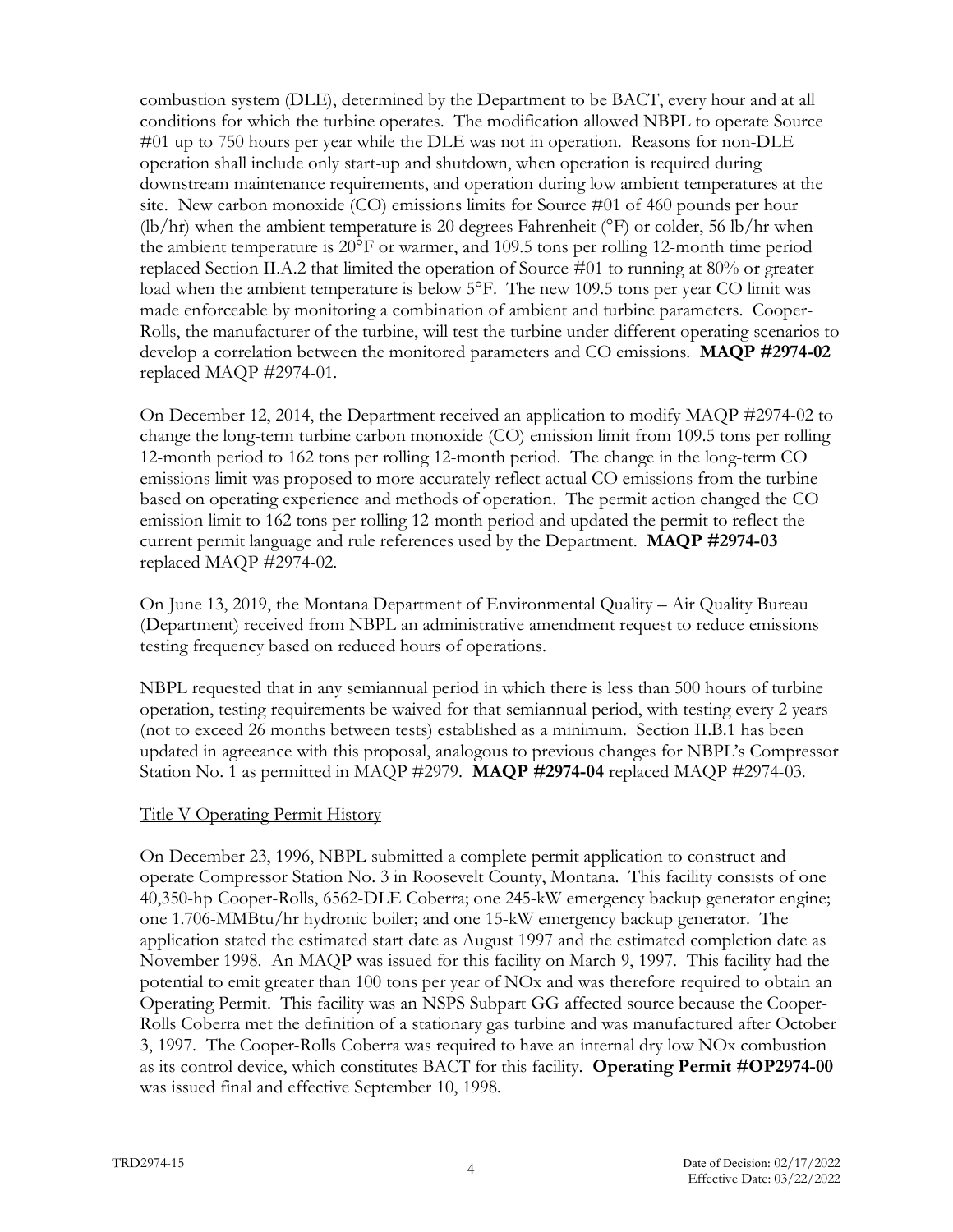combustion system (DLE), determined by the Department to be BACT, every hour and at all conditions for which the turbine operates. The modification allowed NBPL to operate Source #01 up to 750 hours per year while the DLE was not in operation. Reasons for non-DLE operation shall include only start-up and shutdown, when operation is required during downstream maintenance requirements, and operation during low ambient temperatures at the site. New carbon monoxide (CO) emissions limits for Source #01 of 460 pounds per hour  $(lb/hr)$  when the ambient temperature is 20 degrees Fahrenheit ( ${}^{\circ}$ F) or colder, 56 lb/hr when the ambient temperature is 20°F or warmer, and 109.5 tons per rolling 12-month time period replaced Section II.A.2 that limited the operation of Source #01 to running at 80% or greater load when the ambient temperature is below 5°F. The new 109.5 tons per year CO limit was made enforceable by monitoring a combination of ambient and turbine parameters. Cooper-Rolls, the manufacturer of the turbine, will test the turbine under different operating scenarios to develop a correlation between the monitored parameters and CO emissions. **MAQP #2974-02** replaced MAQP #2974-01.

On December 12, 2014, the Department received an application to modify MAQP #2974-02 to change the long-term turbine carbon monoxide (CO) emission limit from 109.5 tons per rolling 12-month period to 162 tons per rolling 12-month period. The change in the long-term CO emissions limit was proposed to more accurately reflect actual CO emissions from the turbine based on operating experience and methods of operation. The permit action changed the CO emission limit to 162 tons per rolling 12-month period and updated the permit to reflect the current permit language and rule references used by the Department. **MAQP #2974-03** replaced MAQP #2974-02.

On June 13, 2019, the Montana Department of Environmental Quality – Air Quality Bureau (Department) received from NBPL an administrative amendment request to reduce emissions testing frequency based on reduced hours of operations.

NBPL requested that in any semiannual period in which there is less than 500 hours of turbine operation, testing requirements be waived for that semiannual period, with testing every 2 years (not to exceed 26 months between tests) established as a minimum. Section II.B.1 has been updated in agreeance with this proposal, analogous to previous changes for NBPL's Compressor Station No. 1 as permitted in MAQP #2979. **MAQP #2974-04** replaced MAQP #2974-03.

#### Title V Operating Permit History

On December 23, 1996, NBPL submitted a complete permit application to construct and operate Compressor Station No. 3 in Roosevelt County, Montana. This facility consists of one 40,350-hp Cooper-Rolls, 6562-DLE Coberra; one 245-kW emergency backup generator engine; one 1.706-MMBtu/hr hydronic boiler; and one 15-kW emergency backup generator. The application stated the estimated start date as August 1997 and the estimated completion date as November 1998. An MAQP was issued for this facility on March 9, 1997. This facility had the potential to emit greater than 100 tons per year of NOx and was therefore required to obtain an Operating Permit. This facility was an NSPS Subpart GG affected source because the Cooper-Rolls Coberra met the definition of a stationary gas turbine and was manufactured after October 3, 1997. The Cooper-Rolls Coberra was required to have an internal dry low NOx combustion as its control device, which constitutes BACT for this facility. **Operating Permit #OP2974-00** was issued final and effective September 10, 1998.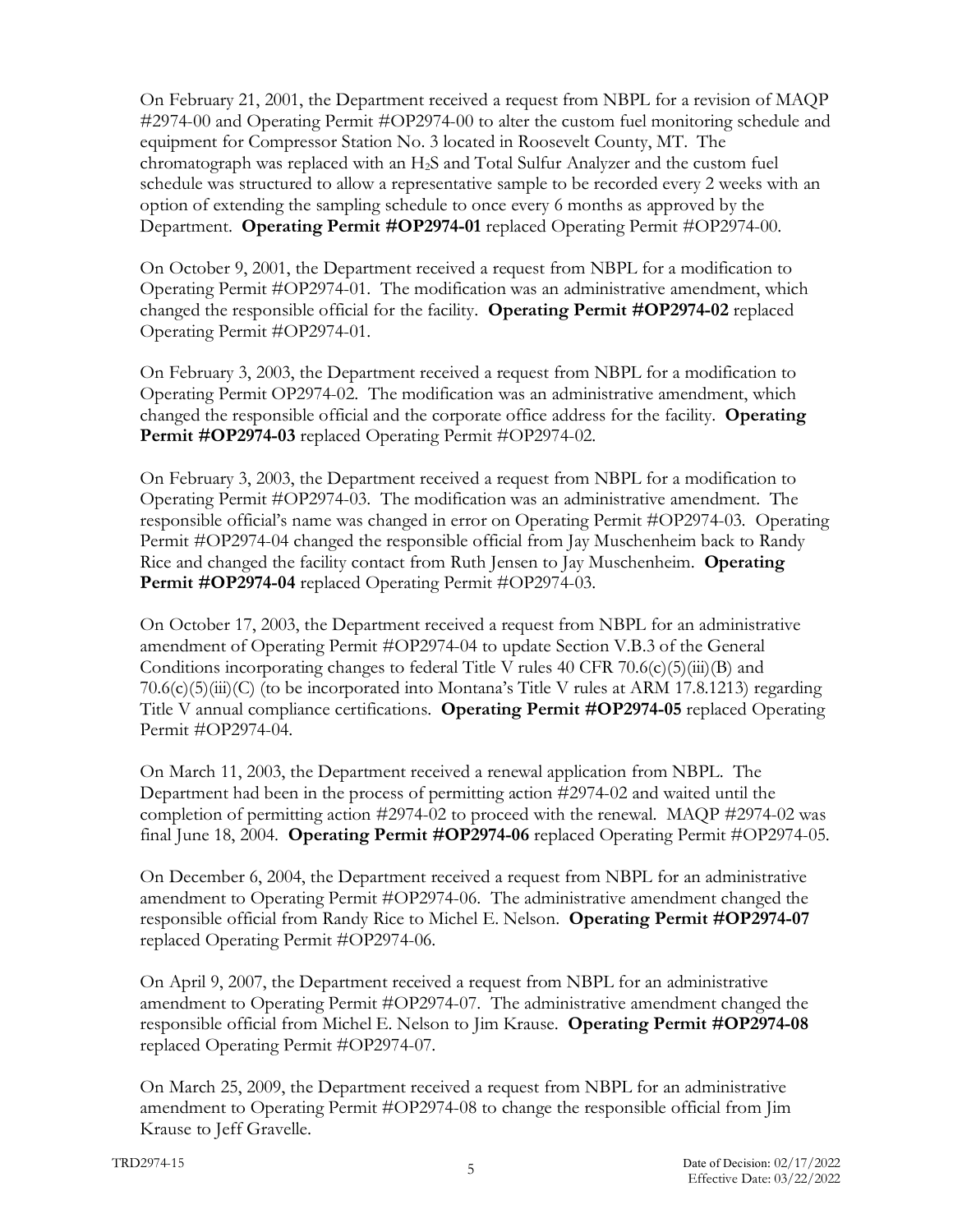On February 21, 2001, the Department received a request from NBPL for a revision of MAQP #2974-00 and Operating Permit #OP2974-00 to alter the custom fuel monitoring schedule and equipment for Compressor Station No. 3 located in Roosevelt County, MT. The chromatograph was replaced with an H2S and Total Sulfur Analyzer and the custom fuel schedule was structured to allow a representative sample to be recorded every 2 weeks with an option of extending the sampling schedule to once every 6 months as approved by the Department. **Operating Permit #OP2974-01** replaced Operating Permit #OP2974-00.

On October 9, 2001, the Department received a request from NBPL for a modification to Operating Permit #OP2974-01. The modification was an administrative amendment, which changed the responsible official for the facility. **Operating Permit #OP2974-02** replaced Operating Permit #OP2974-01.

On February 3, 2003, the Department received a request from NBPL for a modification to Operating Permit OP2974-02. The modification was an administrative amendment, which changed the responsible official and the corporate office address for the facility. **Operating Permit #OP2974-03** replaced Operating Permit #OP2974-02.

On February 3, 2003, the Department received a request from NBPL for a modification to Operating Permit #OP2974-03. The modification was an administrative amendment. The responsible official's name was changed in error on Operating Permit #OP2974-03. Operating Permit #OP2974-04 changed the responsible official from Jay Muschenheim back to Randy Rice and changed the facility contact from Ruth Jensen to Jay Muschenheim. **Operating Permit #OP2974-04** replaced Operating Permit #OP2974-03.

On October 17, 2003, the Department received a request from NBPL for an administrative amendment of Operating Permit #OP2974-04 to update Section V.B.3 of the General Conditions incorporating changes to federal Title V rules 40 CFR 70.6(c)(5)(iii)(B) and  $70.6(c)(5)(iii)(C)$  (to be incorporated into Montana's Title V rules at ARM 17.8.1213) regarding Title V annual compliance certifications. **Operating Permit #OP2974-05** replaced Operating Permit #OP2974-04.

On March 11, 2003, the Department received a renewal application from NBPL. The Department had been in the process of permitting action #2974-02 and waited until the completion of permitting action #2974-02 to proceed with the renewal. MAQP #2974-02 was final June 18, 2004. **Operating Permit #OP2974-06** replaced Operating Permit #OP2974-05.

On December 6, 2004, the Department received a request from NBPL for an administrative amendment to Operating Permit #OP2974-06. The administrative amendment changed the responsible official from Randy Rice to Michel E. Nelson. **Operating Permit #OP2974-07** replaced Operating Permit #OP2974-06.

On April 9, 2007, the Department received a request from NBPL for an administrative amendment to Operating Permit #OP2974-07. The administrative amendment changed the responsible official from Michel E. Nelson to Jim Krause. **Operating Permit #OP2974-08**  replaced Operating Permit #OP2974-07.

On March 25, 2009, the Department received a request from NBPL for an administrative amendment to Operating Permit #OP2974-08 to change the responsible official from Jim Krause to Jeff Gravelle.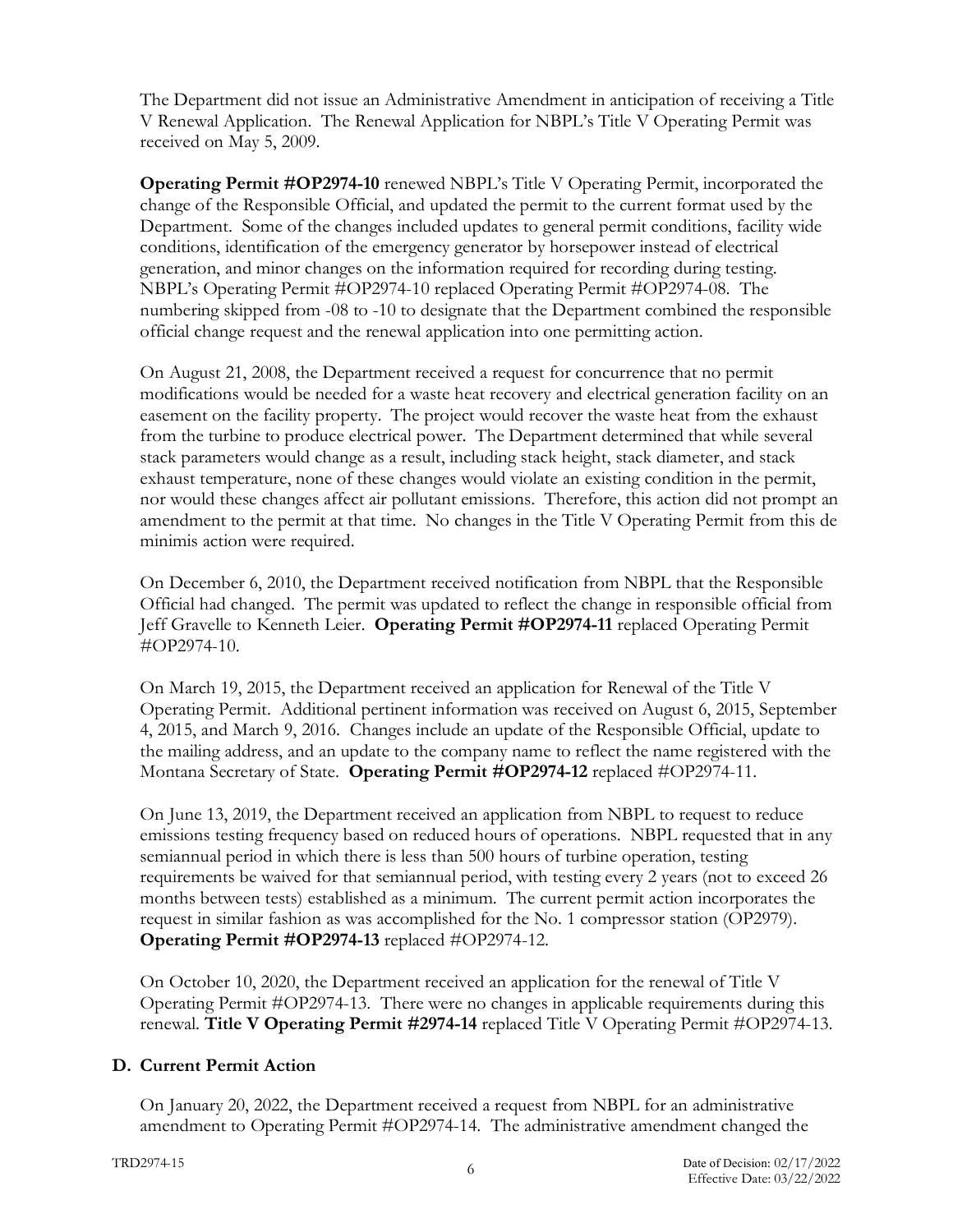The Department did not issue an Administrative Amendment in anticipation of receiving a Title V Renewal Application. The Renewal Application for NBPL's Title V Operating Permit was received on May 5, 2009.

**Operating Permit #OP2974-10** renewed NBPL's Title V Operating Permit, incorporated the change of the Responsible Official, and updated the permit to the current format used by the Department. Some of the changes included updates to general permit conditions, facility wide conditions, identification of the emergency generator by horsepower instead of electrical generation, and minor changes on the information required for recording during testing. NBPL's Operating Permit #OP2974-10 replaced Operating Permit #OP2974-08. The numbering skipped from -08 to -10 to designate that the Department combined the responsible official change request and the renewal application into one permitting action.

On August 21, 2008, the Department received a request for concurrence that no permit modifications would be needed for a waste heat recovery and electrical generation facility on an easement on the facility property. The project would recover the waste heat from the exhaust from the turbine to produce electrical power. The Department determined that while several stack parameters would change as a result, including stack height, stack diameter, and stack exhaust temperature, none of these changes would violate an existing condition in the permit, nor would these changes affect air pollutant emissions. Therefore, this action did not prompt an amendment to the permit at that time. No changes in the Title V Operating Permit from this de minimis action were required.

On December 6, 2010, the Department received notification from NBPL that the Responsible Official had changed. The permit was updated to reflect the change in responsible official from Jeff Gravelle to Kenneth Leier. **Operating Permit #OP2974-11** replaced Operating Permit #OP2974-10.

On March 19, 2015, the Department received an application for Renewal of the Title V Operating Permit. Additional pertinent information was received on August 6, 2015, September 4, 2015, and March 9, 2016. Changes include an update of the Responsible Official, update to the mailing address, and an update to the company name to reflect the name registered with the Montana Secretary of State. **Operating Permit #OP2974-12** replaced #OP2974-11.

On June 13, 2019, the Department received an application from NBPL to request to reduce emissions testing frequency based on reduced hours of operations. NBPL requested that in any semiannual period in which there is less than 500 hours of turbine operation, testing requirements be waived for that semiannual period, with testing every 2 years (not to exceed 26 months between tests) established as a minimum. The current permit action incorporates the request in similar fashion as was accomplished for the No. 1 compressor station (OP2979). **Operating Permit #OP2974-13** replaced #OP2974-12.

On October 10, 2020, the Department received an application for the renewal of Title V Operating Permit #OP2974-13. There were no changes in applicable requirements during this renewal. **Title V Operating Permit #2974-14** replaced Title V Operating Permit #OP2974-13.

## **D. Current Permit Action**

On January 20, 2022, the Department received a request from NBPL for an administrative amendment to Operating Permit #OP2974-14. The administrative amendment changed the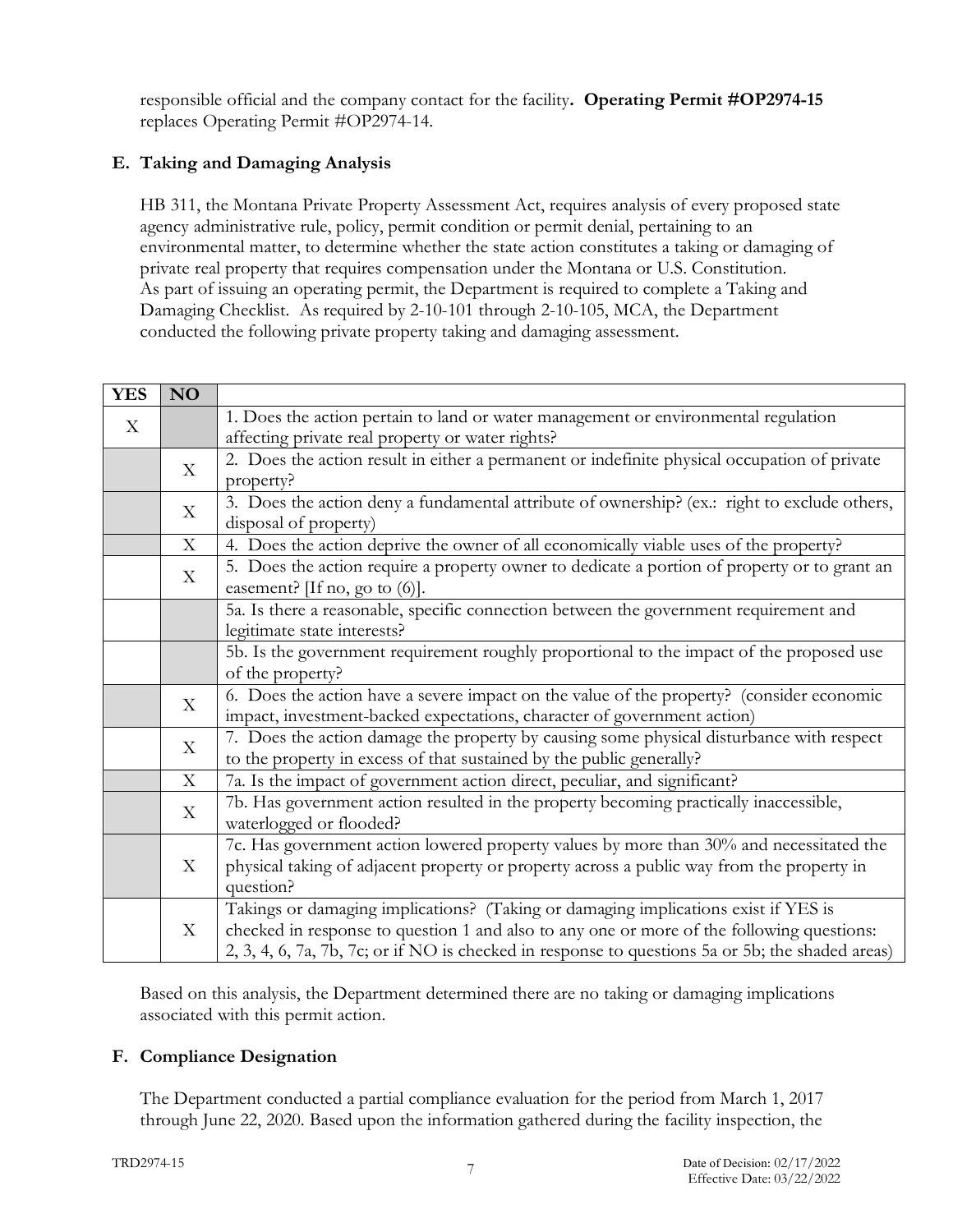responsible official and the company contact for the facility**. Operating Permit #OP2974-15** replaces Operating Permit #OP2974-14.

# **E. Taking and Damaging Analysis**

HB 311, the Montana Private Property Assessment Act, requires analysis of every proposed state agency administrative rule, policy, permit condition or permit denial, pertaining to an environmental matter, to determine whether the state action constitutes a taking or damaging of private real property that requires compensation under the Montana or U.S. Constitution. As part of issuing an operating permit, the Department is required to complete a Taking and Damaging Checklist. As required by 2-10-101 through 2-10-105, MCA, the Department conducted the following private property taking and damaging assessment.

| <b>YES</b>   | <b>NO</b>                 |                                                                                                  |
|--------------|---------------------------|--------------------------------------------------------------------------------------------------|
| $\mathbf{X}$ |                           | 1. Does the action pertain to land or water management or environmental regulation               |
|              |                           | affecting private real property or water rights?                                                 |
|              | X                         | 2. Does the action result in either a permanent or indefinite physical occupation of private     |
|              |                           | property?                                                                                        |
|              | X                         | 3. Does the action deny a fundamental attribute of ownership? (ex.: right to exclude others,     |
|              |                           | disposal of property)                                                                            |
|              | $\boldsymbol{\mathrm{X}}$ | 4. Does the action deprive the owner of all economically viable uses of the property?            |
|              | X                         | 5. Does the action require a property owner to dedicate a portion of property or to grant an     |
|              |                           | easement? [If no, go to $(6)$ ].                                                                 |
|              |                           | 5a. Is there a reasonable, specific connection between the government requirement and            |
|              |                           | legitimate state interests?                                                                      |
|              |                           | 5b. Is the government requirement roughly proportional to the impact of the proposed use         |
|              |                           | of the property?                                                                                 |
|              | X                         | 6. Does the action have a severe impact on the value of the property? (consider economic         |
|              |                           | impact, investment-backed expectations, character of government action)                          |
|              | $\mathbf X$               | 7. Does the action damage the property by causing some physical disturbance with respect         |
|              |                           | to the property in excess of that sustained by the public generally?                             |
|              | X                         | 7a. Is the impact of government action direct, peculiar, and significant?                        |
|              | X                         | 7b. Has government action resulted in the property becoming practically inaccessible,            |
|              |                           | waterlogged or flooded?                                                                          |
|              | X                         | 7c. Has government action lowered property values by more than 30% and necessitated the          |
|              |                           | physical taking of adjacent property or property across a public way from the property in        |
|              |                           | question?                                                                                        |
|              | X                         | Takings or damaging implications? (Taking or damaging implications exist if YES is               |
|              |                           | checked in response to question 1 and also to any one or more of the following questions:        |
|              |                           | 2, 3, 4, 6, 7a, 7b, 7c; or if NO is checked in response to questions 5a or 5b; the shaded areas) |

Based on this analysis, the Department determined there are no taking or damaging implications associated with this permit action.

## **F. Compliance Designation**

The Department conducted a partial compliance evaluation for the period from March 1, 2017 through June 22, 2020. Based upon the information gathered during the facility inspection, the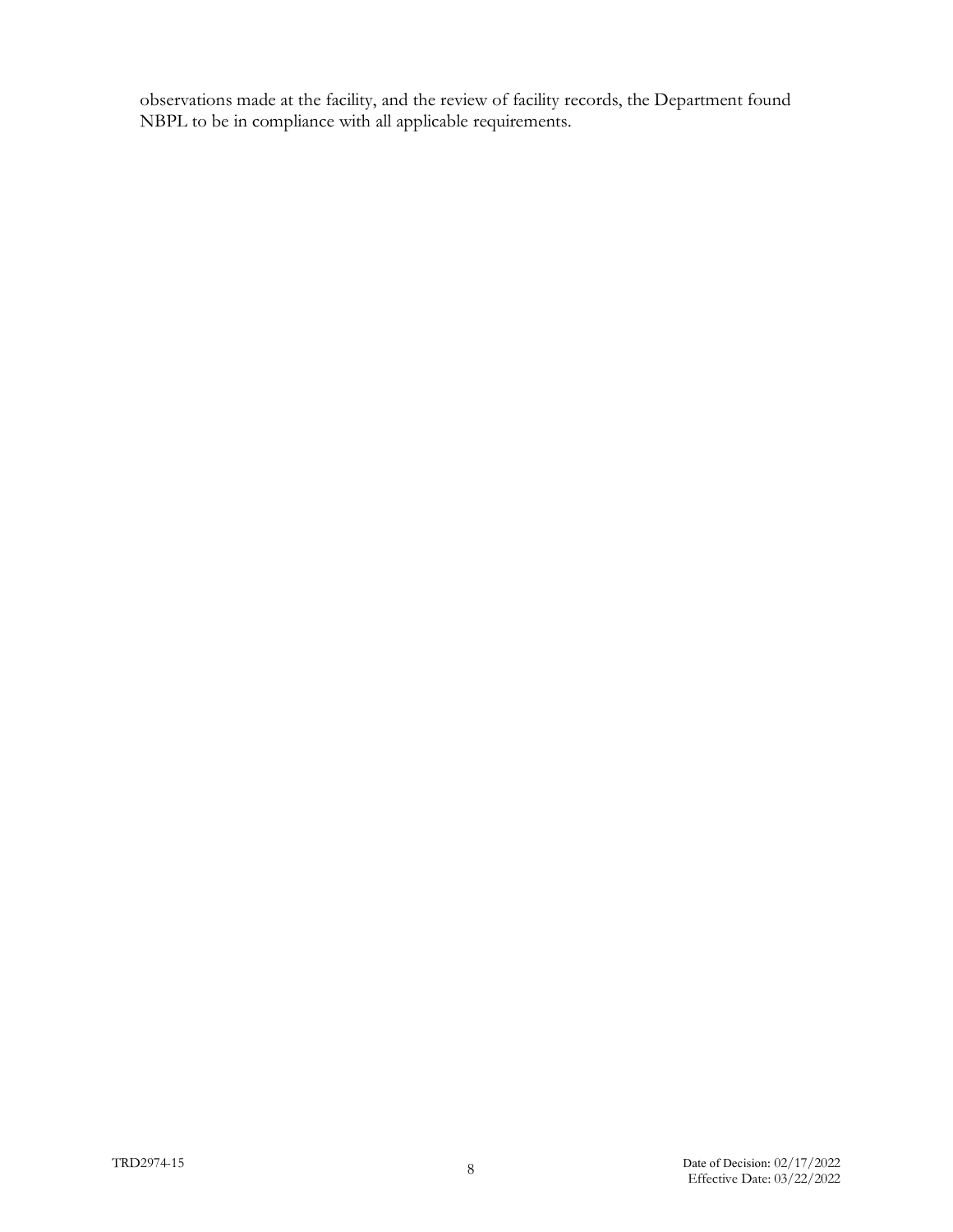observations made at the facility, and the review of facility records, the Department found NBPL to be in compliance with all applicable requirements.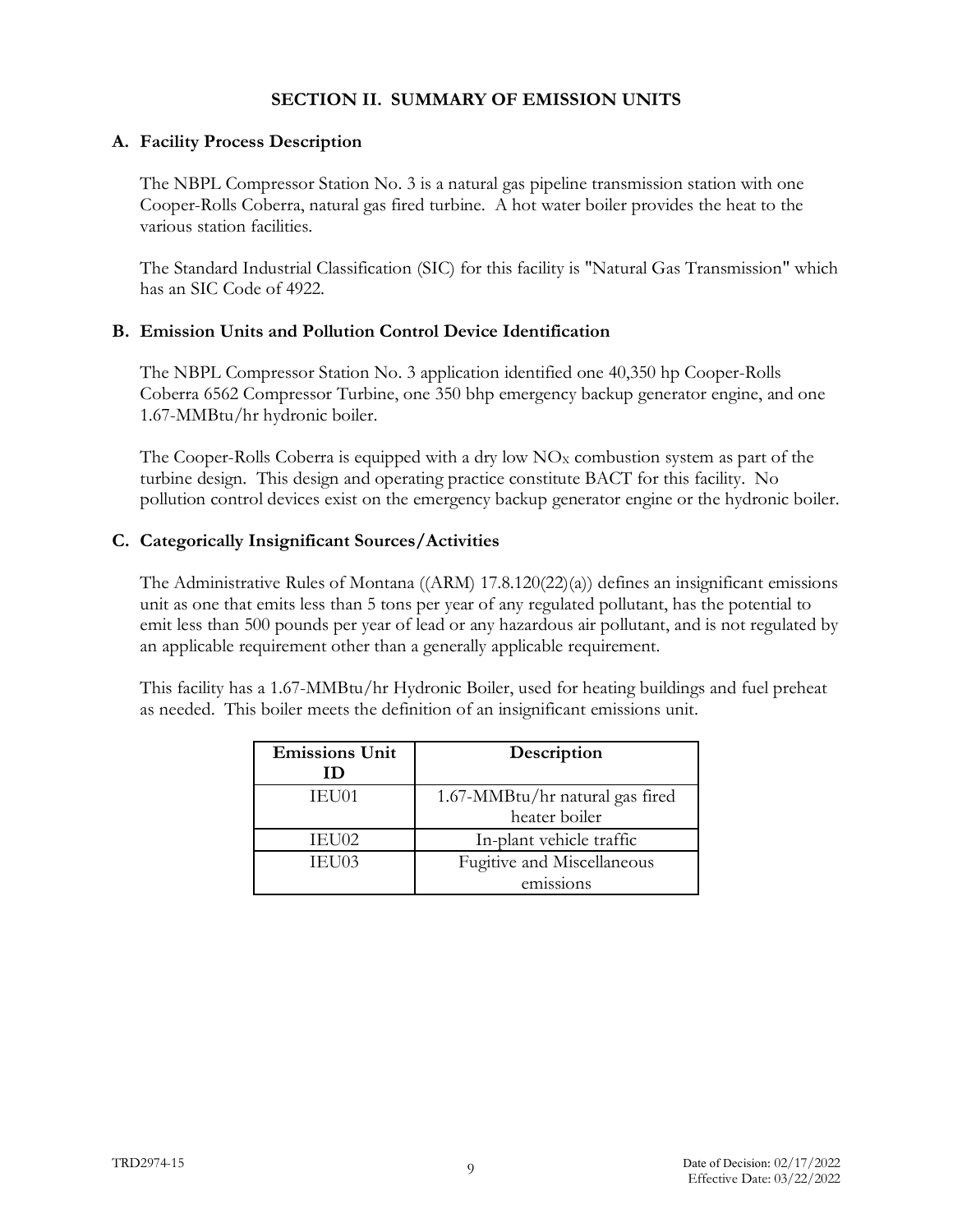### **SECTION II. SUMMARY OF EMISSION UNITS**

### **A. Facility Process Description**

The NBPL Compressor Station No. 3 is a natural gas pipeline transmission station with one Cooper-Rolls Coberra, natural gas fired turbine. A hot water boiler provides the heat to the various station facilities.

The Standard Industrial Classification (SIC) for this facility is "Natural Gas Transmission" which has an SIC Code of 4922.

#### **B. Emission Units and Pollution Control Device Identification**

The NBPL Compressor Station No. 3 application identified one 40,350 hp Cooper-Rolls Coberra 6562 Compressor Turbine, one 350 bhp emergency backup generator engine, and one 1.67-MMBtu/hr hydronic boiler.

The Cooper-Rolls Coberra is equipped with a dry low  $NO<sub>X</sub>$  combustion system as part of the turbine design. This design and operating practice constitute BACT for this facility. No pollution control devices exist on the emergency backup generator engine or the hydronic boiler.

## **C. Categorically Insignificant Sources/Activities**

The Administrative Rules of Montana ((ARM) 17.8.120(22)(a)) defines an insignificant emissions unit as one that emits less than 5 tons per year of any regulated pollutant, has the potential to emit less than 500 pounds per year of lead or any hazardous air pollutant, and is not regulated by an applicable requirement other than a generally applicable requirement.

This facility has a 1.67-MMBtu/hr Hydronic Boiler, used for heating buildings and fuel preheat as needed. This boiler meets the definition of an insignificant emissions unit.

| <b>Emissions Unit</b> | Description                     |
|-----------------------|---------------------------------|
| Ш                     |                                 |
| <b>IEU01</b>          | 1.67-MMBtu/hr natural gas fired |
|                       | heater boiler                   |
| IEU02                 | In-plant vehicle traffic        |
| IEU03                 | Fugitive and Miscellaneous      |
|                       | emissions                       |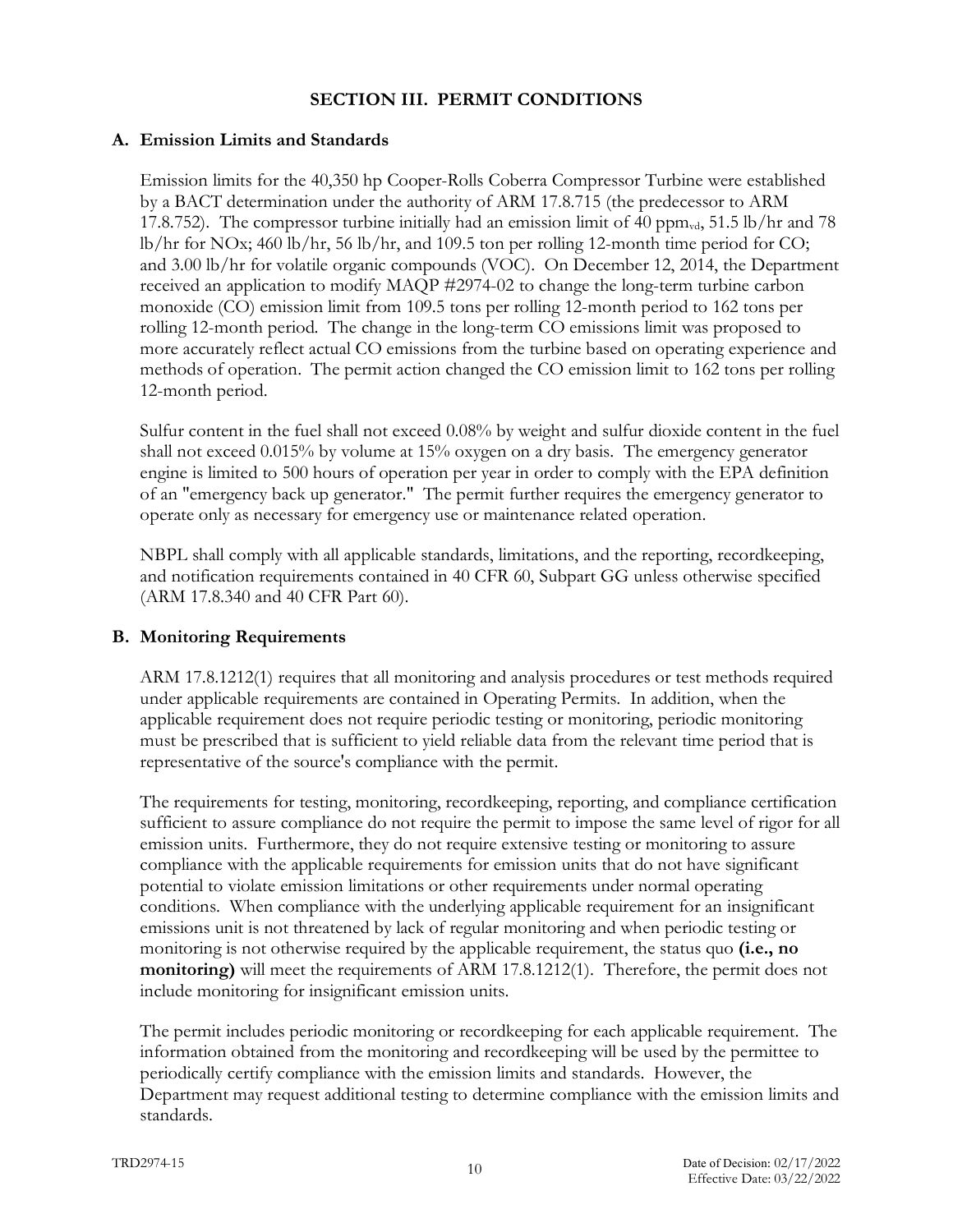### **SECTION III. PERMIT CONDITIONS**

### **A. Emission Limits and Standards**

Emission limits for the 40,350 hp Cooper-Rolls Coberra Compressor Turbine were established by a BACT determination under the authority of ARM 17.8.715 (the predecessor to ARM 17.8.752). The compressor turbine initially had an emission limit of 40 ppm $_{\text{wd}}$ , 51.5 lb/hr and 78 lb/hr for NOx; 460 lb/hr, 56 lb/hr, and 109.5 ton per rolling 12-month time period for CO; and 3.00 lb/hr for volatile organic compounds (VOC). On December 12, 2014, the Department received an application to modify MAQP #2974-02 to change the long-term turbine carbon monoxide (CO) emission limit from 109.5 tons per rolling 12-month period to 162 tons per rolling 12-month period. The change in the long-term CO emissions limit was proposed to more accurately reflect actual CO emissions from the turbine based on operating experience and methods of operation. The permit action changed the CO emission limit to 162 tons per rolling 12-month period.

Sulfur content in the fuel shall not exceed 0.08% by weight and sulfur dioxide content in the fuel shall not exceed 0.015% by volume at 15% oxygen on a dry basis. The emergency generator engine is limited to 500 hours of operation per year in order to comply with the EPA definition of an "emergency back up generator." The permit further requires the emergency generator to operate only as necessary for emergency use or maintenance related operation.

NBPL shall comply with all applicable standards, limitations, and the reporting, recordkeeping, and notification requirements contained in 40 CFR 60, Subpart GG unless otherwise specified (ARM 17.8.340 and 40 CFR Part 60).

## **B. Monitoring Requirements**

ARM 17.8.1212(1) requires that all monitoring and analysis procedures or test methods required under applicable requirements are contained in Operating Permits. In addition, when the applicable requirement does not require periodic testing or monitoring, periodic monitoring must be prescribed that is sufficient to yield reliable data from the relevant time period that is representative of the source's compliance with the permit.

The requirements for testing, monitoring, recordkeeping, reporting, and compliance certification sufficient to assure compliance do not require the permit to impose the same level of rigor for all emission units. Furthermore, they do not require extensive testing or monitoring to assure compliance with the applicable requirements for emission units that do not have significant potential to violate emission limitations or other requirements under normal operating conditions. When compliance with the underlying applicable requirement for an insignificant emissions unit is not threatened by lack of regular monitoring and when periodic testing or monitoring is not otherwise required by the applicable requirement, the status quo **(i.e., no monitoring**) will meet the requirements of ARM 17.8.1212(1). Therefore, the permit does not include monitoring for insignificant emission units.

The permit includes periodic monitoring or recordkeeping for each applicable requirement. The information obtained from the monitoring and recordkeeping will be used by the permittee to periodically certify compliance with the emission limits and standards. However, the Department may request additional testing to determine compliance with the emission limits and standards.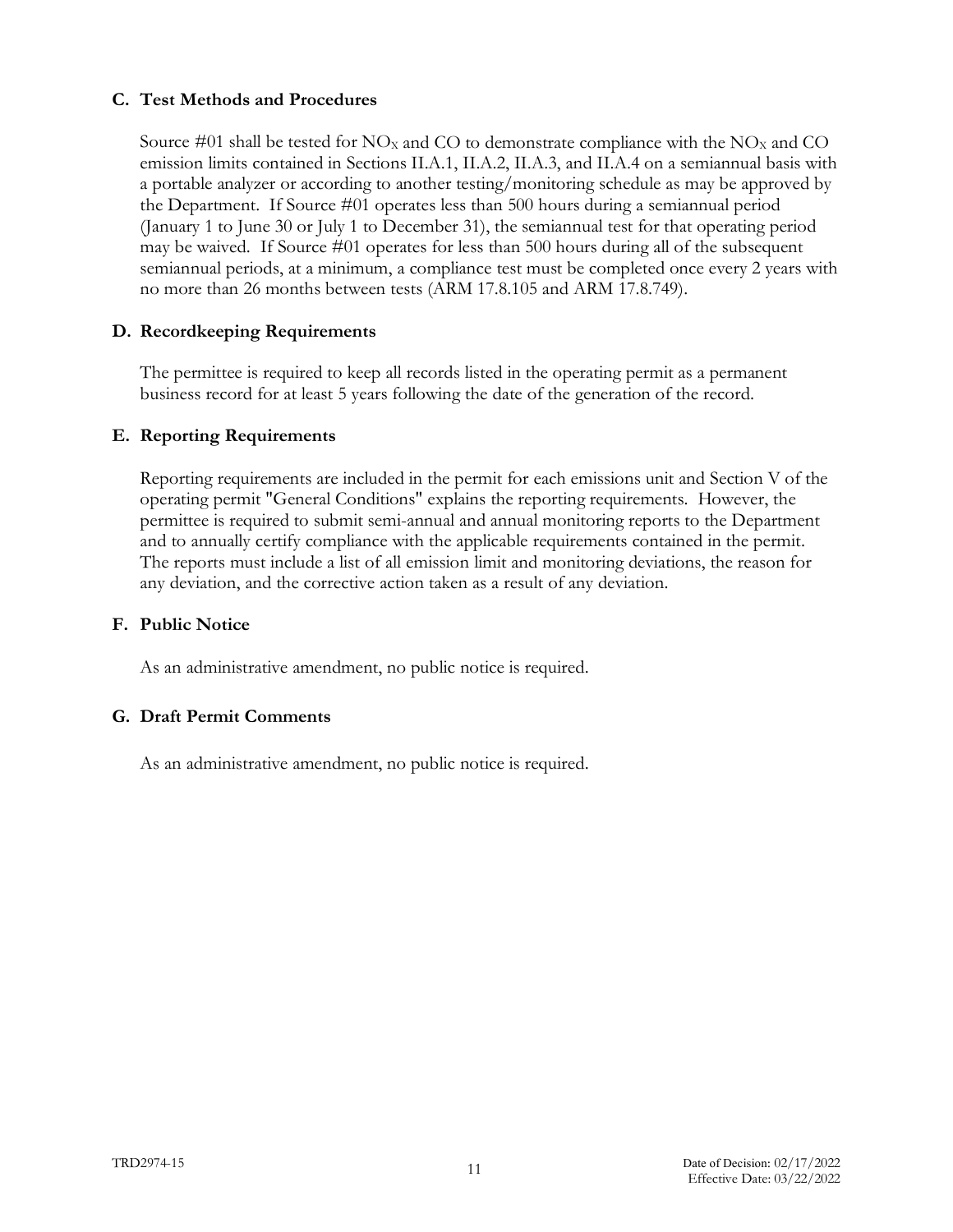### **C. Test Methods and Procedures**

Source #01 shall be tested for  $N\text{O}_X$  and CO to demonstrate compliance with the  $N\text{O}_X$  and CO emission limits contained in Sections II.A.1, II.A.2, II.A.3, and II.A.4 on a semiannual basis with a portable analyzer or according to another testing/monitoring schedule as may be approved by the Department. If Source #01 operates less than 500 hours during a semiannual period (January 1 to June 30 or July 1 to December 31), the semiannual test for that operating period may be waived. If Source #01 operates for less than 500 hours during all of the subsequent semiannual periods, at a minimum, a compliance test must be completed once every 2 years with no more than 26 months between tests (ARM 17.8.105 and ARM 17.8.749).

## **D. Recordkeeping Requirements**

The permittee is required to keep all records listed in the operating permit as a permanent business record for at least 5 years following the date of the generation of the record.

## **E. Reporting Requirements**

Reporting requirements are included in the permit for each emissions unit and Section V of the operating permit "General Conditions" explains the reporting requirements. However, the permittee is required to submit semi-annual and annual monitoring reports to the Department and to annually certify compliance with the applicable requirements contained in the permit. The reports must include a list of all emission limit and monitoring deviations, the reason for any deviation, and the corrective action taken as a result of any deviation.

#### **F. Public Notice**

As an administrative amendment, no public notice is required.

#### **G. Draft Permit Comments**

As an administrative amendment, no public notice is required.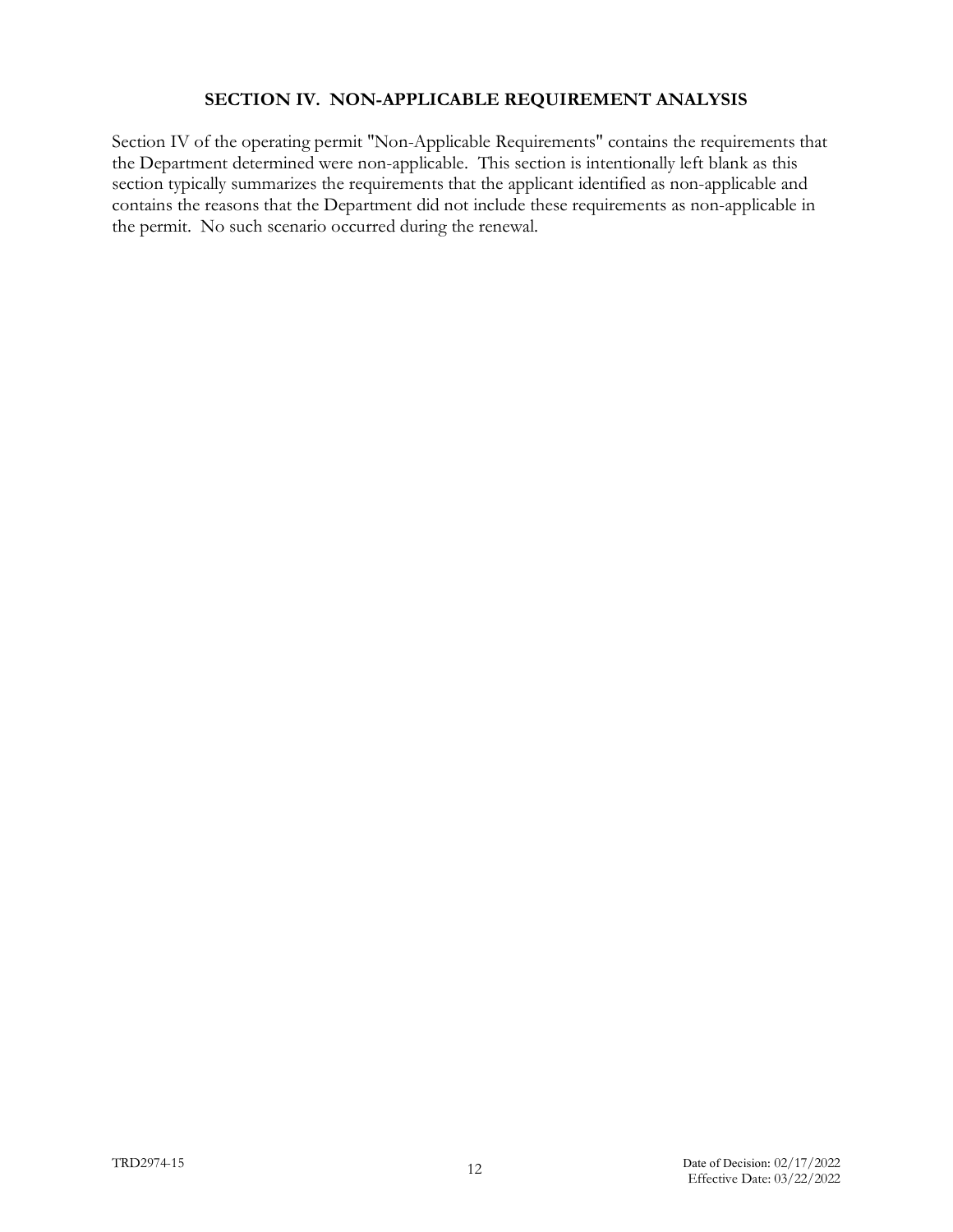#### **SECTION IV. NON-APPLICABLE REQUIREMENT ANALYSIS**

Section IV of the operating permit "Non-Applicable Requirements" contains the requirements that the Department determined were non-applicable. This section is intentionally left blank as this section typically summarizes the requirements that the applicant identified as non-applicable and contains the reasons that the Department did not include these requirements as non-applicable in the permit. No such scenario occurred during the renewal.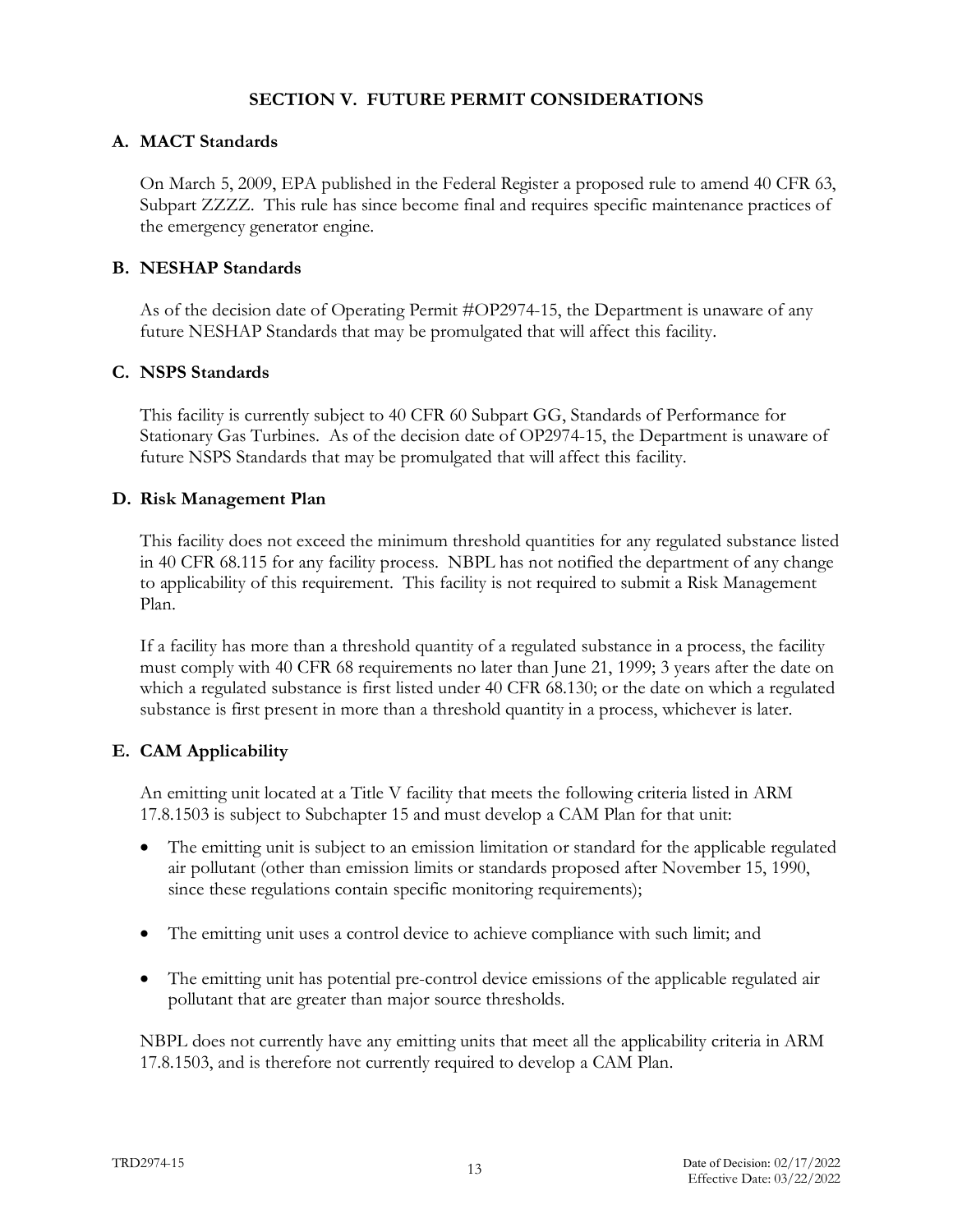#### **SECTION V. FUTURE PERMIT CONSIDERATIONS**

#### **A. MACT Standards**

On March 5, 2009, EPA published in the Federal Register a proposed rule to amend 40 CFR 63, Subpart ZZZZ. This rule has since become final and requires specific maintenance practices of the emergency generator engine.

#### **B. NESHAP Standards**

As of the decision date of Operating Permit #OP2974-15, the Department is unaware of any future NESHAP Standards that may be promulgated that will affect this facility.

#### **C. NSPS Standards**

This facility is currently subject to 40 CFR 60 Subpart GG, Standards of Performance for Stationary Gas Turbines. As of the decision date of OP2974-15, the Department is unaware of future NSPS Standards that may be promulgated that will affect this facility.

#### **D. Risk Management Plan**

This facility does not exceed the minimum threshold quantities for any regulated substance listed in 40 CFR 68.115 for any facility process. NBPL has not notified the department of any change to applicability of this requirement. This facility is not required to submit a Risk Management Plan.

If a facility has more than a threshold quantity of a regulated substance in a process, the facility must comply with 40 CFR 68 requirements no later than June 21, 1999; 3 years after the date on which a regulated substance is first listed under 40 CFR 68.130; or the date on which a regulated substance is first present in more than a threshold quantity in a process, whichever is later.

#### **E. CAM Applicability**

An emitting unit located at a Title V facility that meets the following criteria listed in ARM 17.8.1503 is subject to Subchapter 15 and must develop a CAM Plan for that unit:

- The emitting unit is subject to an emission limitation or standard for the applicable regulated air pollutant (other than emission limits or standards proposed after November 15, 1990, since these regulations contain specific monitoring requirements);
- The emitting unit uses a control device to achieve compliance with such limit; and
- The emitting unit has potential pre-control device emissions of the applicable regulated air pollutant that are greater than major source thresholds.

NBPL does not currently have any emitting units that meet all the applicability criteria in ARM 17.8.1503, and is therefore not currently required to develop a CAM Plan.